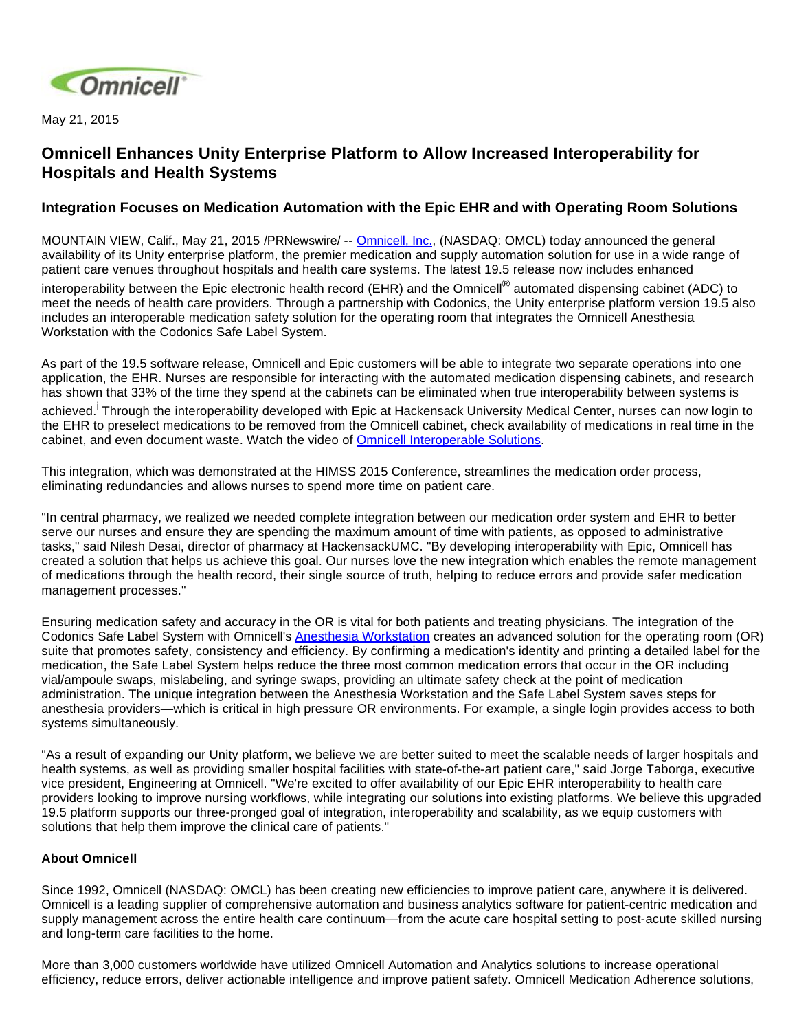

May 21, 2015

## **Omnicell Enhances Unity Enterprise Platform to Allow Increased Interoperability for Hospitals and Health Systems**

## **Integration Focuses on Medication Automation with the Epic EHR and with Operating Room Solutions**

MOUNTAIN VIEW, Calif., May 21, 2015 /PRNewswire/ -- [Omnicell, Inc.](http://www.omnicell.com/), (NASDAQ: OMCL) today announced the general availability of its Unity enterprise platform, the premier medication and supply automation solution for use in a wide range of patient care venues throughout hospitals and health care systems. The latest 19.5 release now includes enhanced interoperability between the Epic electronic health record (EHR) and the Omnicell<sup>®</sup> automated dispensing cabinet (ADC) to meet the needs of health care providers. Through a partnership with Codonics, the Unity enterprise platform version 19.5 also includes an interoperable medication safety solution for the operating room that integrates the Omnicell Anesthesia Workstation with the Codonics Safe Label System.

As part of the 19.5 software release, Omnicell and Epic customers will be able to integrate two separate operations into one application, the EHR. Nurses are responsible for interacting with the automated medication dispensing cabinets, and research has shown that 33% of the time they spend at the cabinets can be eliminated when true interoperability between systems is

achieved.<sup>I</sup> Through the interoperability developed with Epic at Hackensack University Medical Center, nurses can now login to the EHR to preselect medications to be removed from the Omnicell cabinet, check availability of medications in real time in the cabinet, and even document waste. Watch the video of [Omnicell Interoperable Solutions.](http://bcove.me/xwzpqcu7)

This integration, which was demonstrated at the HIMSS 2015 Conference, streamlines the medication order process, eliminating redundancies and allows nurses to spend more time on patient care.

"In central pharmacy, we realized we needed complete integration between our medication order system and EHR to better serve our nurses and ensure they are spending the maximum amount of time with patients, as opposed to administrative tasks," said Nilesh Desai, director of pharmacy at HackensackUMC. "By developing interoperability with Epic, Omnicell has created a solution that helps us achieve this goal. Our nurses love the new integration which enables the remote management of medications through the health record, their single source of truth, helping to reduce errors and provide safer medication management processes."

Ensuring medication safety and accuracy in the OR is vital for both patients and treating physicians. The integration of the Codonics Safe Label System with Omnicell's [Anesthesia Workstation](http://www.omnicell.com/Products/Medication_Dispensing/Anesthesia_Workstation_G4.aspx) creates an advanced solution for the operating room (OR) suite that promotes safety, consistency and efficiency. By confirming a medication's identity and printing a detailed label for the medication, the Safe Label System helps reduce the three most common medication errors that occur in the OR including vial/ampoule swaps, mislabeling, and syringe swaps, providing an ultimate safety check at the point of medication administration. The unique integration between the Anesthesia Workstation and the Safe Label System saves steps for anesthesia providers—which is critical in high pressure OR environments. For example, a single login provides access to both systems simultaneously.

"As a result of expanding our Unity platform, we believe we are better suited to meet the scalable needs of larger hospitals and health systems, as well as providing smaller hospital facilities with state-of-the-art patient care," said Jorge Taborga, executive vice president, Engineering at Omnicell. "We're excited to offer availability of our Epic EHR interoperability to health care providers looking to improve nursing workflows, while integrating our solutions into existing platforms. We believe this upgraded 19.5 platform supports our three-pronged goal of integration, interoperability and scalability, as we equip customers with solutions that help them improve the clinical care of patients."

## **About Omnicell**

Since 1992, Omnicell (NASDAQ: OMCL) has been creating new efficiencies to improve patient care, anywhere it is delivered. Omnicell is a leading supplier of comprehensive automation and business analytics software for patient-centric medication and supply management across the entire health care continuum—from the acute care hospital setting to post-acute skilled nursing and long-term care facilities to the home.

More than 3,000 customers worldwide have utilized Omnicell Automation and Analytics solutions to increase operational efficiency, reduce errors, deliver actionable intelligence and improve patient safety. Omnicell Medication Adherence solutions,